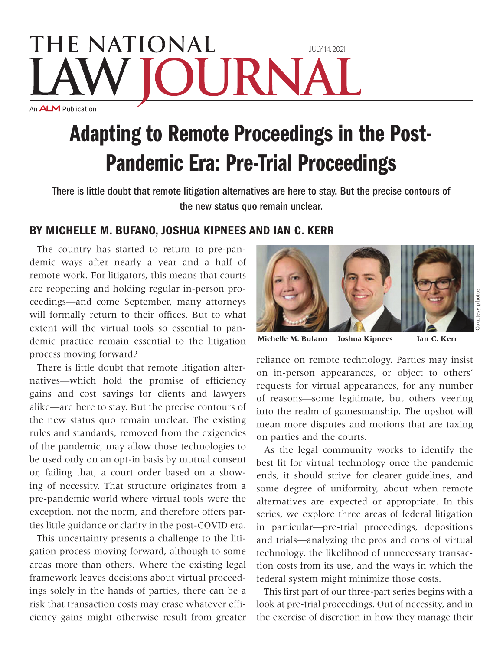## **THE NATIONAL** July 14, 2021 URN An **ALM** Publication

## Adapting to Remote Proceedings in the Post-Pandemic Era: Pre-Trial Proceedings

There is little doubt that remote litigation alternatives are here to stay. But the precise contours of the new status quo remain unclear.

## By Michelle M. Bufano, Joshua Kipnees and Ian C. Kerr

The country has started to return to pre-pandemic ways after nearly a year and a half of remote work. For litigators, this means that courts are reopening and holding regular in-person proceedings—and come September, many attorneys will formally return to their offices. But to what extent will the virtual tools so essential to pandemic practice remain essential to the litigation process moving forward?

There is little doubt that remote litigation alternatives—which hold the promise of efficiency gains and cost savings for clients and lawyers alike—are here to stay. But the precise contours of the new status quo remain unclear. The existing rules and standards, removed from the exigencies of the pandemic, may allow those technologies to be used only on an opt-in basis by mutual consent or, failing that, a court order based on a showing of necessity. That structure originates from a pre-pandemic world where virtual tools were the exception, not the norm, and therefore offers parties little guidance or clarity in the post-COVID era.

This uncertainty presents a challenge to the litigation process moving forward, although to some areas more than others. Where the existing legal framework leaves decisions about virtual proceedings solely in the hands of parties, there can be a risk that transaction costs may erase whatever efficiency gains might otherwise result from greater



**Michelle M. Bufano Joshua Kipnees Ian C. Kerr**

reliance on remote technology. Parties may insist on in-person appearances, or object to others' requests for virtual appearances, for any number of reasons—some legitimate, but others veering into the realm of gamesmanship. The upshot will mean more disputes and motions that are taxing on parties and the courts.

As the legal community works to identify the best fit for virtual technology once the pandemic ends, it should strive for clearer guidelines, and some degree of uniformity, about when remote alternatives are expected or appropriate. In this series, we explore three areas of federal litigation in particular—pre-trial proceedings, depositions and trials—analyzing the pros and cons of virtual technology, the likelihood of unnecessary transaction costs from its use, and the ways in which the federal system might minimize those costs.

This first part of our three-part series begins with a look at pre-trial proceedings. Out of necessity, and in the exercise of discretion in how they manage their